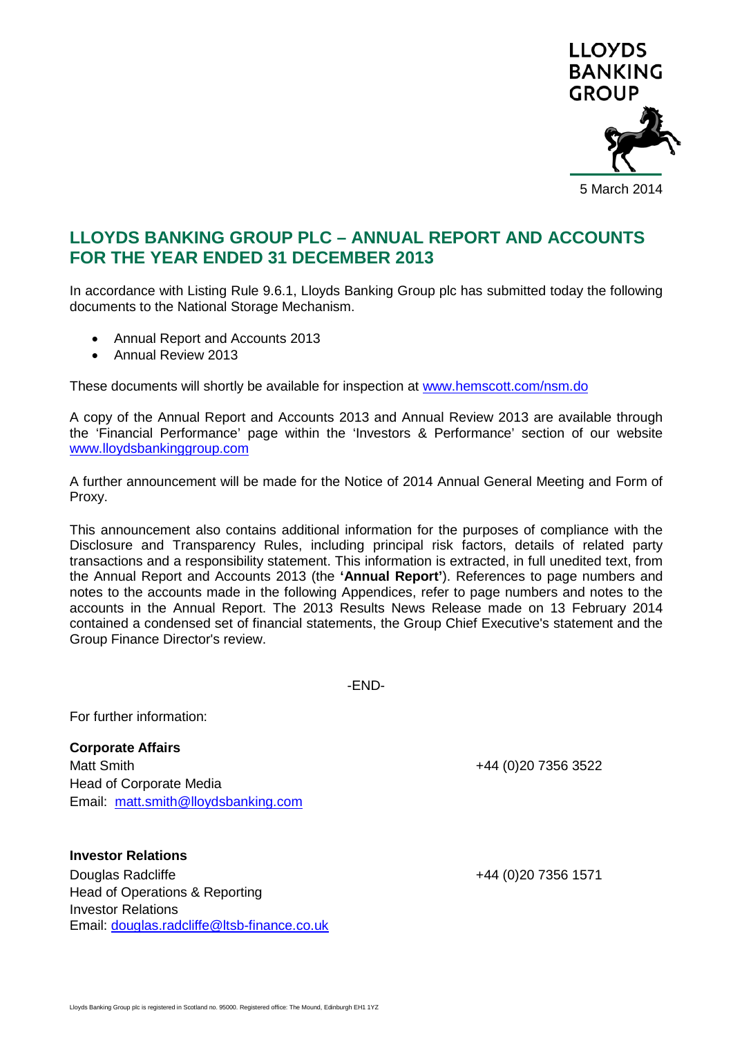

# **LLOYDS BANKING GROUP PLC – ANNUAL REPORT AND ACCOUNTS FOR THE YEAR ENDED 31 DECEMBER 2013**

In accordance with Listing Rule 9.6.1, Lloyds Banking Group plc has submitted today the following documents to the National Storage Mechanism.

- Annual Report and Accounts 2013
- Annual Review 2013

These documents will shortly be available for inspection at [www.hemscott.com/nsm.do](http://www.hemscott.com/nsm.do)

A copy of the Annual Report and Accounts 2013 and Annual Review 2013 are available through the 'Financial Performance' page within the 'Investors & Performance' section of our website [www.lloydsbankinggroup.com](http://www.lloydsbankinggroup.com/)

A further announcement will be made for the Notice of 2014 Annual General Meeting and Form of Proxy.

This announcement also contains additional information for the purposes of compliance with the Disclosure and Transparency Rules, including principal risk factors, details of related party transactions and a responsibility statement. This information is extracted, in full unedited text, from the Annual Report and Accounts 2013 (the **'Annual Report'**). References to page numbers and notes to the accounts made in the following Appendices, refer to page numbers and notes to the accounts in the Annual Report. The 2013 Results News Release made on 13 February 2014 contained a condensed set of financial statements, the Group Chief Executive's statement and the Group Finance Director's review.

-END-

For further information:

**Corporate Affairs** Matt Smith +44 (0)20 7356 3522 Head of Corporate Media Email: [matt.smith@lloydsbanking.com](mailto:matt.smith@lloydsbanking.com)

**Investor Relations** Douglas Radcliffe +44 (0)20 7356 1571 Head of Operations & Reporting Investor Relations Email: [douglas.radcliffe@ltsb-finance.co.uk](mailto:douglas.radcliffe@ltsb-finance.co.uk)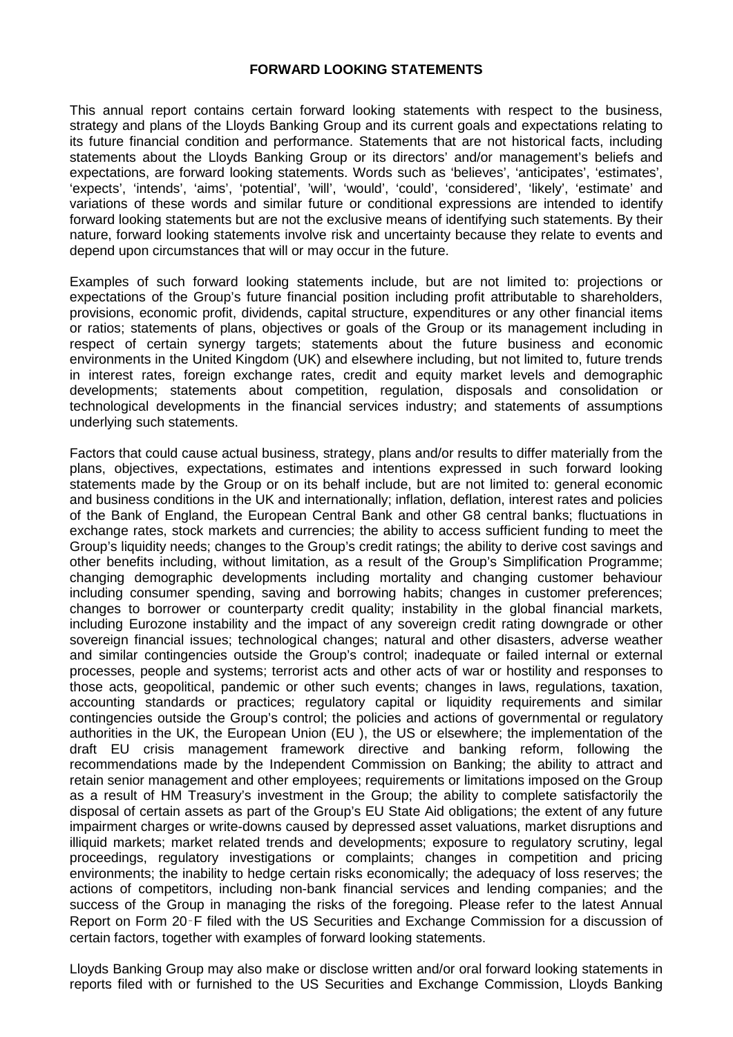# **FORWARD LOOKING STATEMENTS**

This annual report contains certain forward looking statements with respect to the business, strategy and plans of the Lloyds Banking Group and its current goals and expectations relating to its future financial condition and performance. Statements that are not historical facts, including statements about the Lloyds Banking Group or its directors' and/or management's beliefs and expectations, are forward looking statements. Words such as 'believes', 'anticipates', 'estimates', 'expects', 'intends', 'aims', 'potential', 'will', 'would', 'could', 'considered', 'likely', 'estimate' and variations of these words and similar future or conditional expressions are intended to identify forward looking statements but are not the exclusive means of identifying such statements. By their nature, forward looking statements involve risk and uncertainty because they relate to events and depend upon circumstances that will or may occur in the future.

Examples of such forward looking statements include, but are not limited to: projections or expectations of the Group's future financial position including profit attributable to shareholders, provisions, economic profit, dividends, capital structure, expenditures or any other financial items or ratios; statements of plans, objectives or goals of the Group or its management including in respect of certain synergy targets; statements about the future business and economic environments in the United Kingdom (UK) and elsewhere including, but not limited to, future trends in interest rates, foreign exchange rates, credit and equity market levels and demographic developments; statements about competition, regulation, disposals and consolidation or technological developments in the financial services industry; and statements of assumptions underlying such statements.

Factors that could cause actual business, strategy, plans and/or results to differ materially from the plans, objectives, expectations, estimates and intentions expressed in such forward looking statements made by the Group or on its behalf include, but are not limited to: general economic and business conditions in the UK and internationally; inflation, deflation, interest rates and policies of the Bank of England, the European Central Bank and other G8 central banks; fluctuations in exchange rates, stock markets and currencies; the ability to access sufficient funding to meet the Group's liquidity needs; changes to the Group's credit ratings; the ability to derive cost savings and other benefits including, without limitation, as a result of the Group's Simplification Programme; changing demographic developments including mortality and changing customer behaviour including consumer spending, saving and borrowing habits; changes in customer preferences; changes to borrower or counterparty credit quality; instability in the global financial markets, including Eurozone instability and the impact of any sovereign credit rating downgrade or other sovereign financial issues; technological changes; natural and other disasters, adverse weather and similar contingencies outside the Group's control; inadequate or failed internal or external processes, people and systems; terrorist acts and other acts of war or hostility and responses to those acts, geopolitical, pandemic or other such events; changes in laws, regulations, taxation, accounting standards or practices; regulatory capital or liquidity requirements and similar contingencies outside the Group's control; the policies and actions of governmental or regulatory authorities in the UK, the European Union (EU ), the US or elsewhere; the implementation of the draft EU crisis management framework directive and banking reform, following the recommendations made by the Independent Commission on Banking; the ability to attract and retain senior management and other employees; requirements or limitations imposed on the Group as a result of HM Treasury's investment in the Group; the ability to complete satisfactorily the disposal of certain assets as part of the Group's EU State Aid obligations; the extent of any future impairment charges or write-downs caused by depressed asset valuations, market disruptions and illiquid markets; market related trends and developments; exposure to regulatory scrutiny, legal proceedings, regulatory investigations or complaints; changes in competition and pricing environments; the inability to hedge certain risks economically; the adequacy of loss reserves; the actions of competitors, including non-bank financial services and lending companies; and the success of the Group in managing the risks of the foregoing. Please refer to the latest Annual Report on Form 20‑F filed with the US Securities and Exchange Commission for a discussion of certain factors, together with examples of forward looking statements.

Lloyds Banking Group may also make or disclose written and/or oral forward looking statements in reports filed with or furnished to the US Securities and Exchange Commission, Lloyds Banking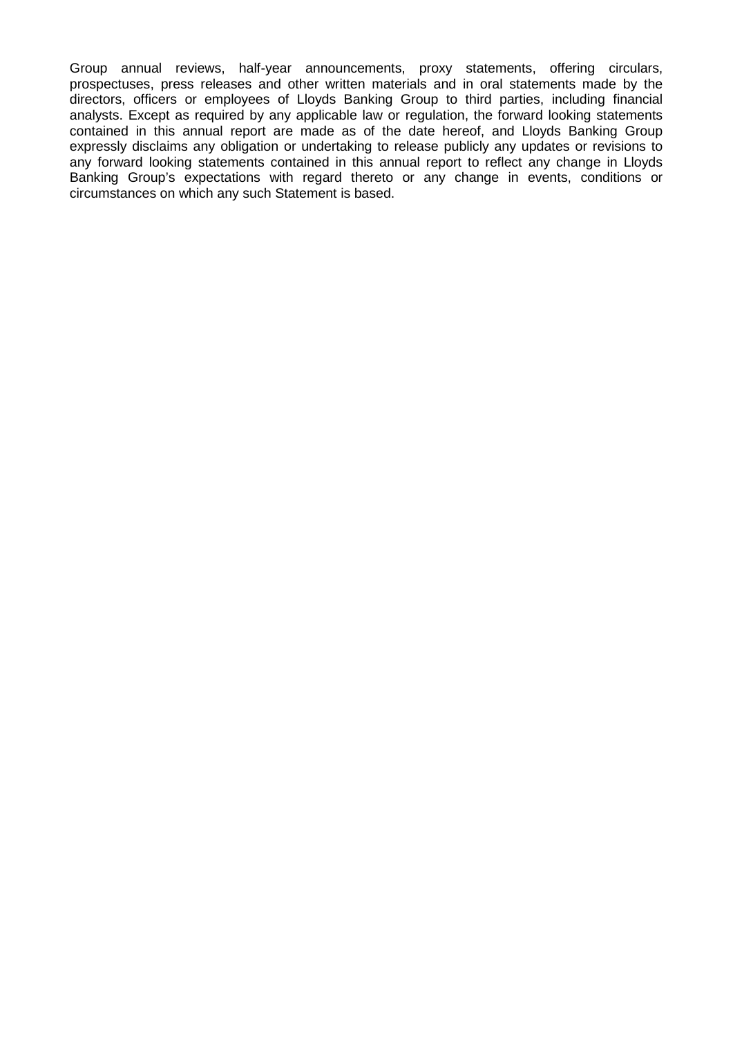Group annual reviews, half-year announcements, proxy statements, offering circulars, prospectuses, press releases and other written materials and in oral statements made by the directors, officers or employees of Lloyds Banking Group to third parties, including financial analysts. Except as required by any applicable law or regulation, the forward looking statements contained in this annual report are made as of the date hereof, and Lloyds Banking Group expressly disclaims any obligation or undertaking to release publicly any updates or revisions to any forward looking statements contained in this annual report to reflect any change in Lloyds Banking Group's expectations with regard thereto or any change in events, conditions or circumstances on which any such Statement is based.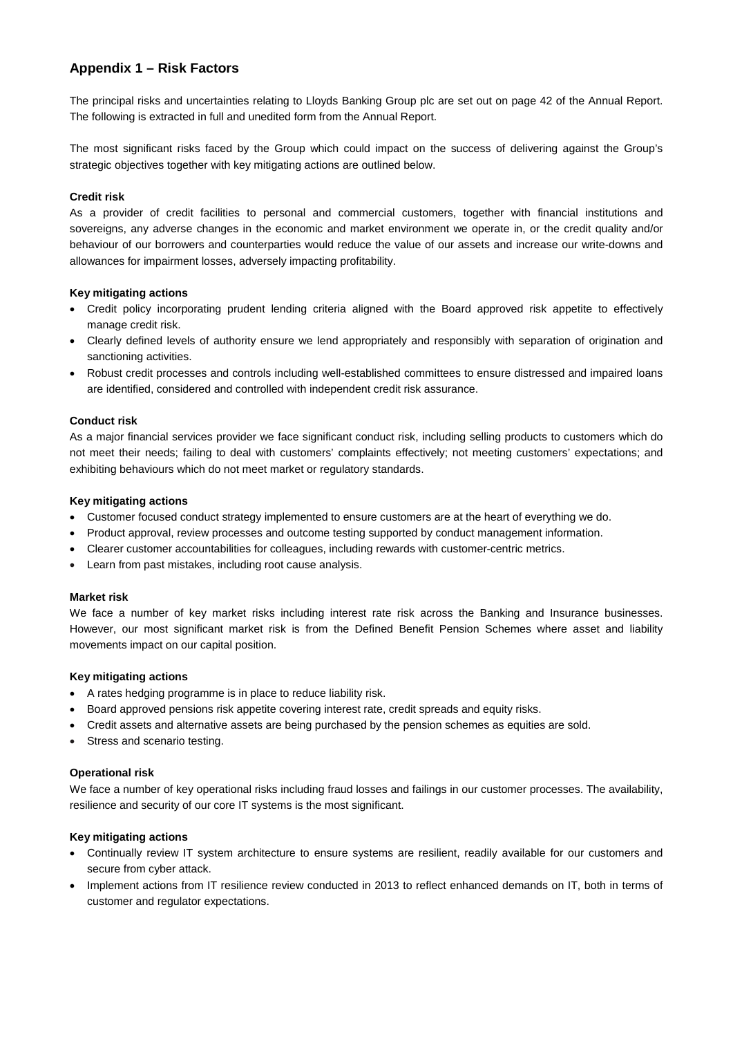# **Appendix 1 – Risk Factors**

The principal risks and uncertainties relating to Lloyds Banking Group plc are set out on page 42 of the Annual Report. The following is extracted in full and unedited form from the Annual Report.

The most significant risks faced by the Group which could impact on the success of delivering against the Group's strategic objectives together with key mitigating actions are outlined below.

# **Credit risk**

As a provider of credit facilities to personal and commercial customers, together with financial institutions and sovereigns, any adverse changes in the economic and market environment we operate in, or the credit quality and/or behaviour of our borrowers and counterparties would reduce the value of our assets and increase our write-downs and allowances for impairment losses, adversely impacting profitability.

# **Key mitigating actions**

- Credit policy incorporating prudent lending criteria aligned with the Board approved risk appetite to effectively manage credit risk.
- Clearly defined levels of authority ensure we lend appropriately and responsibly with separation of origination and sanctioning activities.
- Robust credit processes and controls including well-established committees to ensure distressed and impaired loans are identified, considered and controlled with independent credit risk assurance.

# **Conduct risk**

As a major financial services provider we face significant conduct risk, including selling products to customers which do not meet their needs; failing to deal with customers' complaints effectively; not meeting customers' expectations; and exhibiting behaviours which do not meet market or regulatory standards.

#### **Key mitigating actions**

- Customer focused conduct strategy implemented to ensure customers are at the heart of everything we do.
- Product approval, review processes and outcome testing supported by conduct management information.
- Clearer customer accountabilities for colleagues, including rewards with customer-centric metrics.
- Learn from past mistakes, including root cause analysis.

#### **Market risk**

We face a number of key market risks including interest rate risk across the Banking and Insurance businesses. However, our most significant market risk is from the Defined Benefit Pension Schemes where asset and liability movements impact on our capital position.

#### **Key mitigating actions**

- A rates hedging programme is in place to reduce liability risk.
- Board approved pensions risk appetite covering interest rate, credit spreads and equity risks.
- Credit assets and alternative assets are being purchased by the pension schemes as equities are sold.
- Stress and scenario testing.

#### **Operational risk**

We face a number of key operational risks including fraud losses and failings in our customer processes. The availability, resilience and security of our core IT systems is the most significant.

### **Key mitigating actions**

- Continually review IT system architecture to ensure systems are resilient, readily available for our customers and secure from cyber attack.
- Implement actions from IT resilience review conducted in 2013 to reflect enhanced demands on IT, both in terms of customer and regulator expectations.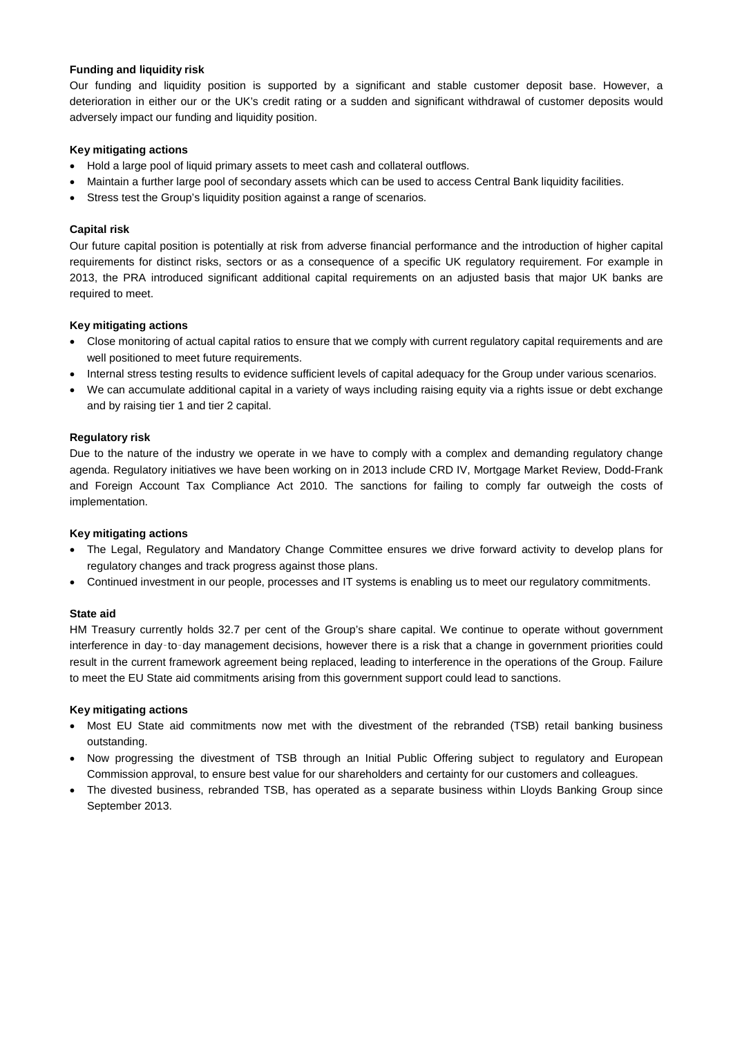# **Funding and liquidity risk**

Our funding and liquidity position is supported by a significant and stable customer deposit base. However, a deterioration in either our or the UK's credit rating or a sudden and significant withdrawal of customer deposits would adversely impact our funding and liquidity position.

# **Key mitigating actions**

- Hold a large pool of liquid primary assets to meet cash and collateral outflows.
- Maintain a further large pool of secondary assets which can be used to access Central Bank liquidity facilities.
- Stress test the Group's liquidity position against a range of scenarios.

# **Capital risk**

Our future capital position is potentially at risk from adverse financial performance and the introduction of higher capital requirements for distinct risks, sectors or as a consequence of a specific UK regulatory requirement. For example in 2013, the PRA introduced significant additional capital requirements on an adjusted basis that major UK banks are required to meet.

#### **Key mitigating actions**

- Close monitoring of actual capital ratios to ensure that we comply with current regulatory capital requirements and are well positioned to meet future requirements.
- Internal stress testing results to evidence sufficient levels of capital adequacy for the Group under various scenarios.
- We can accumulate additional capital in a variety of ways including raising equity via a rights issue or debt exchange and by raising tier 1 and tier 2 capital.

# **Regulatory risk**

Due to the nature of the industry we operate in we have to comply with a complex and demanding regulatory change agenda. Regulatory initiatives we have been working on in 2013 include CRD IV, Mortgage Market Review, Dodd-Frank and Foreign Account Tax Compliance Act 2010. The sanctions for failing to comply far outweigh the costs of implementation.

#### **Key mitigating actions**

- The Legal, Regulatory and Mandatory Change Committee ensures we drive forward activity to develop plans for regulatory changes and track progress against those plans.
- Continued investment in our people, processes and IT systems is enabling us to meet our regulatory commitments.

# **State aid**

HM Treasury currently holds 32.7 per cent of the Group's share capital. We continue to operate without government interference in day‑to‑day management decisions, however there is a risk that a change in government priorities could result in the current framework agreement being replaced, leading to interference in the operations of the Group. Failure to meet the EU State aid commitments arising from this government support could lead to sanctions.

#### **Key mitigating actions**

- Most EU State aid commitments now met with the divestment of the rebranded (TSB) retail banking business outstanding.
- Now progressing the divestment of TSB through an Initial Public Offering subject to regulatory and European Commission approval, to ensure best value for our shareholders and certainty for our customers and colleagues.
- The divested business, rebranded TSB, has operated as a separate business within Lloyds Banking Group since September 2013.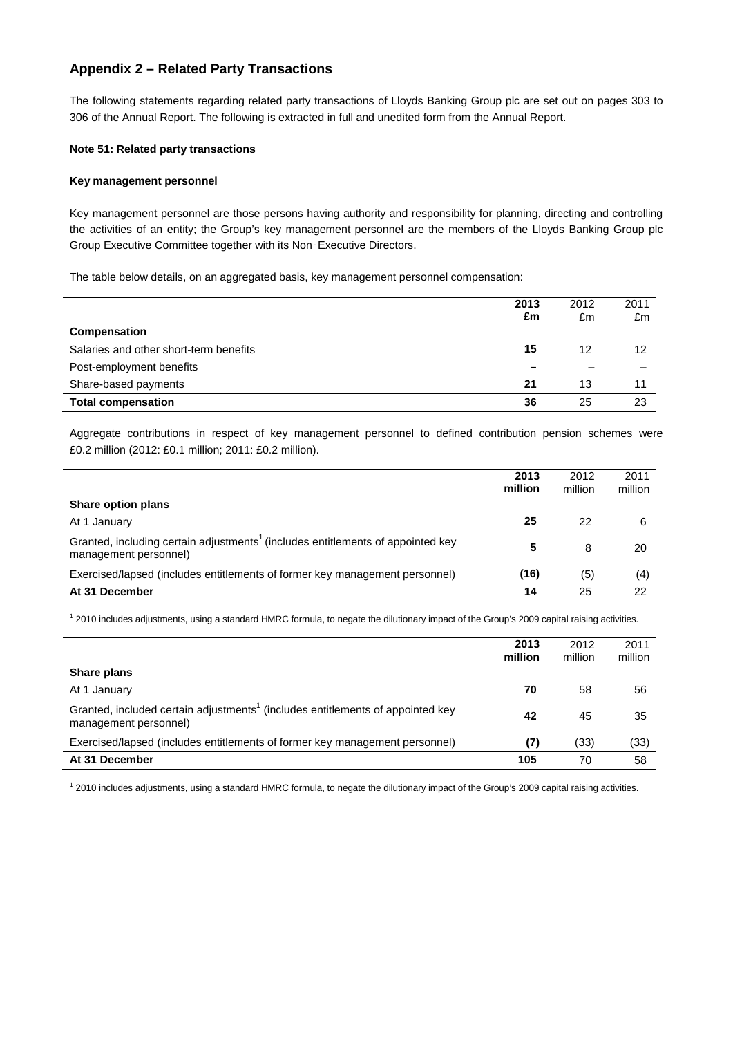# **Appendix 2 – Related Party Transactions**

The following statements regarding related party transactions of Lloyds Banking Group plc are set out on pages 303 to 306 of the Annual Report. The following is extracted in full and unedited form from the Annual Report.

# **Note 51: Related party transactions**

### **Key management personnel**

Key management personnel are those persons having authority and responsibility for planning, directing and controlling the activities of an entity; the Group's key management personnel are the members of the Lloyds Banking Group plc Group Executive Committee together with its Non‑Executive Directors.

The table below details, on an aggregated basis, key management personnel compensation:

|                                        | 2013<br>£m | 2012<br>£m | 2011<br>£m |
|----------------------------------------|------------|------------|------------|
| <b>Compensation</b>                    |            |            |            |
| Salaries and other short-term benefits | 15         | 12         | 12         |
| Post-employment benefits               |            |            |            |
| Share-based payments                   | 21         | 13         |            |
| <b>Total compensation</b>              | 36         | 25         | 23         |

Aggregate contributions in respect of key management personnel to defined contribution pension schemes were £0.2 million (2012: £0.1 million; 2011: £0.2 million).

|                                                                                                                      | 2013<br>million | 2012<br>million | 2011<br>million |
|----------------------------------------------------------------------------------------------------------------------|-----------------|-----------------|-----------------|
| Share option plans                                                                                                   |                 |                 |                 |
| At 1 January                                                                                                         | 25              | 22              | 6               |
| Granted, including certain adjustments <sup>1</sup> (includes entitlements of appointed key<br>management personnel) | 5               | 8               | 20              |
| Exercised/lapsed (includes entitlements of former key management personnel)                                          | (16)            | (5)             | (4)             |
| At 31 December                                                                                                       | 14              | 25              | 22              |

 $12010$  includes adjustments, using a standard HMRC formula, to negate the dilutionary impact of the Group's 2009 capital raising activities.

|                                                                                                                     | 2013<br>million | 2012<br>million | 2011<br>million |
|---------------------------------------------------------------------------------------------------------------------|-----------------|-----------------|-----------------|
| Share plans                                                                                                         |                 |                 |                 |
| At 1 January                                                                                                        | 70              | 58              | 56              |
| Granted, included certain adjustments <sup>1</sup> (includes entitlements of appointed key<br>management personnel) | 42              | 45              | 35              |
| Exercised/lapsed (includes entitlements of former key management personnel)                                         | (7)             | (33)            | (33)            |
| At 31 December                                                                                                      | 105             | 70              | 58              |

<sup>1</sup> 2010 includes adjustments, using a standard HMRC formula, to negate the dilutionary impact of the Group's 2009 capital raising activities.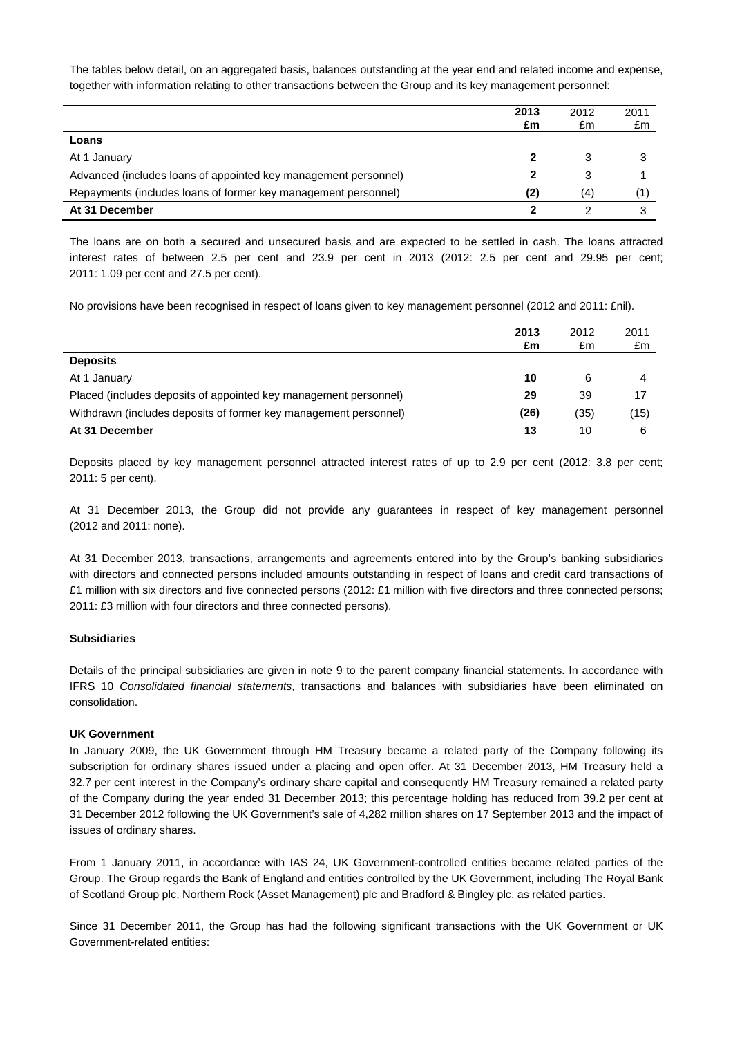The tables below detail, on an aggregated basis, balances outstanding at the year end and related income and expense, together with information relating to other transactions between the Group and its key management personnel:

|                                                                 | 2013<br>£m | 2012<br>£m | 2011<br>£m |
|-----------------------------------------------------------------|------------|------------|------------|
| Loans                                                           |            |            |            |
| At 1 January                                                    |            | 3          |            |
| Advanced (includes loans of appointed key management personnel) |            | 3          |            |
| Repayments (includes loans of former key management personnel)  | (2)        | (4)        |            |
| At 31 December                                                  |            |            |            |

The loans are on both a secured and unsecured basis and are expected to be settled in cash. The loans attracted interest rates of between 2.5 per cent and 23.9 per cent in 2013 (2012: 2.5 per cent and 29.95 per cent; 2011: 1.09 per cent and 27.5 per cent).

No provisions have been recognised in respect of loans given to key management personnel (2012 and 2011: £nil).

|                                                                  | 2013<br>£m | 2012<br>£m | 2011<br>£m |
|------------------------------------------------------------------|------------|------------|------------|
| <b>Deposits</b>                                                  |            |            |            |
| At 1 January                                                     | 10         | 6          |            |
| Placed (includes deposits of appointed key management personnel) | 29         | 39         | 17         |
| Withdrawn (includes deposits of former key management personnel) | (26)       | (35)       | (15)       |
| At 31 December                                                   | 13         | 10         | 6          |

Deposits placed by key management personnel attracted interest rates of up to 2.9 per cent (2012: 3.8 per cent; 2011: 5 per cent).

At 31 December 2013, the Group did not provide any guarantees in respect of key management personnel (2012 and 2011: none).

At 31 December 2013, transactions, arrangements and agreements entered into by the Group's banking subsidiaries with directors and connected persons included amounts outstanding in respect of loans and credit card transactions of £1 million with six directors and five connected persons (2012: £1 million with five directors and three connected persons; 2011: £3 million with four directors and three connected persons).

#### **Subsidiaries**

Details of the principal subsidiaries are given in note 9 to the parent company financial statements. In accordance with IFRS 10 *Consolidated financial statements*, transactions and balances with subsidiaries have been eliminated on consolidation.

# **UK Government**

In January 2009, the UK Government through HM Treasury became a related party of the Company following its subscription for ordinary shares issued under a placing and open offer. At 31 December 2013, HM Treasury held a 32.7 per cent interest in the Company's ordinary share capital and consequently HM Treasury remained a related party of the Company during the year ended 31 December 2013; this percentage holding has reduced from 39.2 per cent at 31 December 2012 following the UK Government's sale of 4,282 million shares on 17 September 2013 and the impact of issues of ordinary shares.

From 1 January 2011, in accordance with IAS 24, UK Government-controlled entities became related parties of the Group. The Group regards the Bank of England and entities controlled by the UK Government, including The Royal Bank of Scotland Group plc, Northern Rock (Asset Management) plc and Bradford & Bingley plc, as related parties.

Since 31 December 2011, the Group has had the following significant transactions with the UK Government or UK Government-related entities: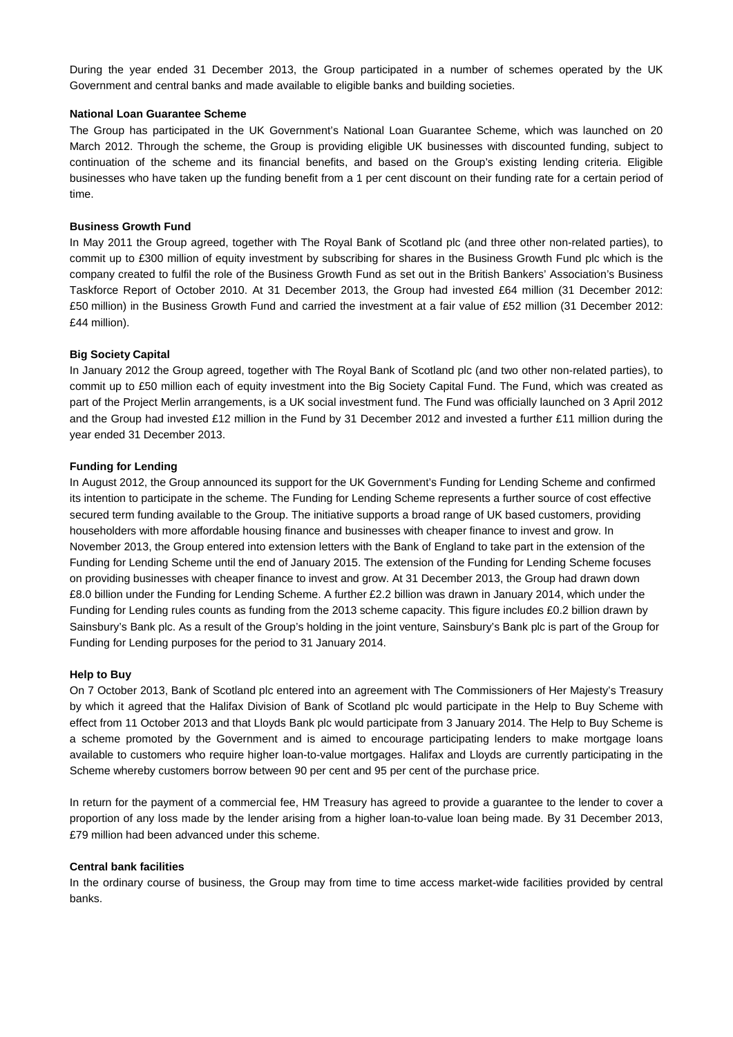During the year ended 31 December 2013, the Group participated in a number of schemes operated by the UK Government and central banks and made available to eligible banks and building societies.

# **National Loan Guarantee Scheme**

The Group has participated in the UK Government's National Loan Guarantee Scheme, which was launched on 20 March 2012. Through the scheme, the Group is providing eligible UK businesses with discounted funding, subject to continuation of the scheme and its financial benefits, and based on the Group's existing lending criteria. Eligible businesses who have taken up the funding benefit from a 1 per cent discount on their funding rate for a certain period of time.

# **Business Growth Fund**

In May 2011 the Group agreed, together with The Royal Bank of Scotland plc (and three other non-related parties), to commit up to £300 million of equity investment by subscribing for shares in the Business Growth Fund plc which is the company created to fulfil the role of the Business Growth Fund as set out in the British Bankers' Association's Business Taskforce Report of October 2010. At 31 December 2013, the Group had invested £64 million (31 December 2012: £50 million) in the Business Growth Fund and carried the investment at a fair value of £52 million (31 December 2012: £44 million).

# **Big Society Capital**

In January 2012 the Group agreed, together with The Royal Bank of Scotland plc (and two other non-related parties), to commit up to £50 million each of equity investment into the Big Society Capital Fund. The Fund, which was created as part of the Project Merlin arrangements, is a UK social investment fund. The Fund was officially launched on 3 April 2012 and the Group had invested £12 million in the Fund by 31 December 2012 and invested a further £11 million during the year ended 31 December 2013.

# **Funding for Lending**

In August 2012, the Group announced its support for the UK Government's Funding for Lending Scheme and confirmed its intention to participate in the scheme. The Funding for Lending Scheme represents a further source of cost effective secured term funding available to the Group. The initiative supports a broad range of UK based customers, providing householders with more affordable housing finance and businesses with cheaper finance to invest and grow. In November 2013, the Group entered into extension letters with the Bank of England to take part in the extension of the Funding for Lending Scheme until the end of January 2015. The extension of the Funding for Lending Scheme focuses on providing businesses with cheaper finance to invest and grow. At 31 December 2013, the Group had drawn down £8.0 billion under the Funding for Lending Scheme. A further £2.2 billion was drawn in January 2014, which under the Funding for Lending rules counts as funding from the 2013 scheme capacity. This figure includes £0.2 billion drawn by Sainsbury's Bank plc. As a result of the Group's holding in the joint venture, Sainsbury's Bank plc is part of the Group for Funding for Lending purposes for the period to 31 January 2014.

#### **Help to Buy**

On 7 October 2013, Bank of Scotland plc entered into an agreement with The Commissioners of Her Majesty's Treasury by which it agreed that the Halifax Division of Bank of Scotland plc would participate in the Help to Buy Scheme with effect from 11 October 2013 and that Lloyds Bank plc would participate from 3 January 2014. The Help to Buy Scheme is a scheme promoted by the Government and is aimed to encourage participating lenders to make mortgage loans available to customers who require higher loan-to-value mortgages. Halifax and Lloyds are currently participating in the Scheme whereby customers borrow between 90 per cent and 95 per cent of the purchase price.

In return for the payment of a commercial fee, HM Treasury has agreed to provide a guarantee to the lender to cover a proportion of any loss made by the lender arising from a higher loan-to-value loan being made. By 31 December 2013, £79 million had been advanced under this scheme.

#### **Central bank facilities**

In the ordinary course of business, the Group may from time to time access market-wide facilities provided by central banks.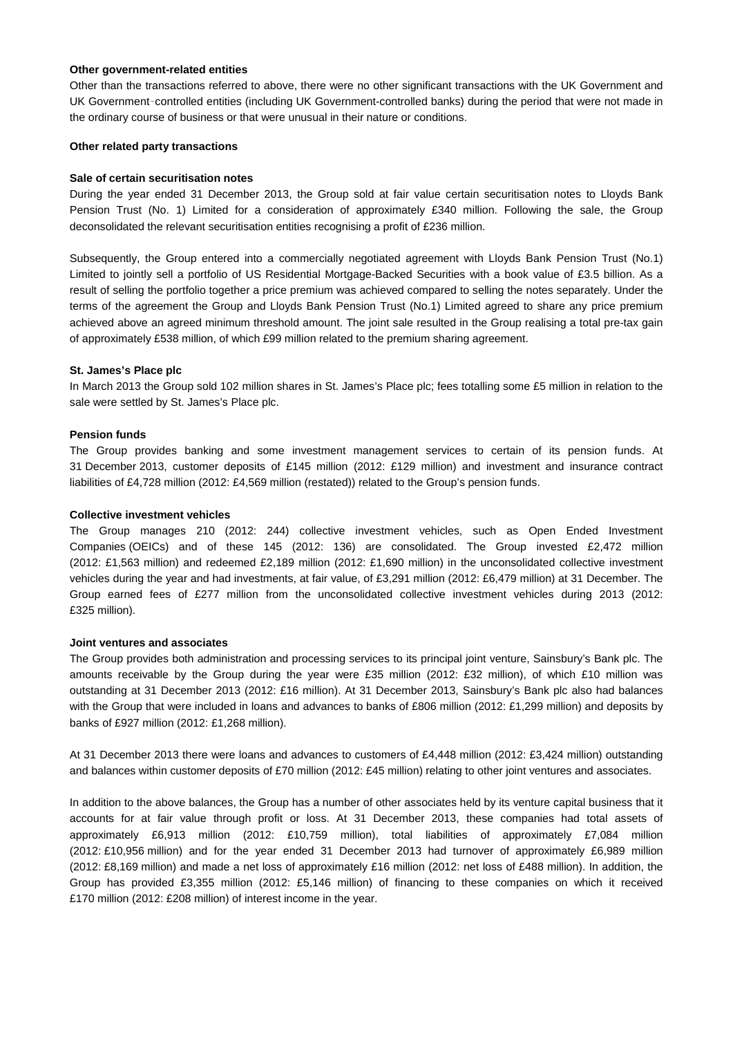#### **Other government-related entities**

Other than the transactions referred to above, there were no other significant transactions with the UK Government and UK Government‑controlled entities (including UK Government-controlled banks) during the period that were not made in the ordinary course of business or that were unusual in their nature or conditions.

#### **Other related party transactions**

# **Sale of certain securitisation notes**

During the year ended 31 December 2013, the Group sold at fair value certain securitisation notes to Lloyds Bank Pension Trust (No. 1) Limited for a consideration of approximately £340 million. Following the sale, the Group deconsolidated the relevant securitisation entities recognising a profit of £236 million.

Subsequently, the Group entered into a commercially negotiated agreement with Lloyds Bank Pension Trust (No.1) Limited to jointly sell a portfolio of US Residential Mortgage-Backed Securities with a book value of £3.5 billion. As a result of selling the portfolio together a price premium was achieved compared to selling the notes separately. Under the terms of the agreement the Group and Lloyds Bank Pension Trust (No.1) Limited agreed to share any price premium achieved above an agreed minimum threshold amount. The joint sale resulted in the Group realising a total pre-tax gain of approximately £538 million, of which £99 million related to the premium sharing agreement.

# **St. James's Place plc**

In March 2013 the Group sold 102 million shares in St. James's Place plc; fees totalling some £5 million in relation to the sale were settled by St. James's Place plc.

# **Pension funds**

The Group provides banking and some investment management services to certain of its pension funds. At 31 December 2013, customer deposits of £145 million (2012: £129 million) and investment and insurance contract liabilities of £4,728 million (2012: £4,569 million (restated)) related to the Group's pension funds.

# **Collective investment vehicles**

The Group manages 210 (2012: 244) collective investment vehicles, such as Open Ended Investment Companies (OEICs) and of these 145 (2012: 136) are consolidated. The Group invested £2,472 million (2012: £1,563 million) and redeemed £2,189 million (2012: £1,690 million) in the unconsolidated collective investment vehicles during the year and had investments, at fair value, of £3,291 million (2012: £6,479 million) at 31 December. The Group earned fees of £277 million from the unconsolidated collective investment vehicles during 2013 (2012: £325 million).

#### **Joint ventures and associates**

The Group provides both administration and processing services to its principal joint venture, Sainsbury's Bank plc. The amounts receivable by the Group during the year were £35 million (2012: £32 million), of which £10 million was outstanding at 31 December 2013 (2012: £16 million). At 31 December 2013, Sainsbury's Bank plc also had balances with the Group that were included in loans and advances to banks of £806 million (2012: £1,299 million) and deposits by banks of £927 million (2012: £1,268 million).

At 31 December 2013 there were loans and advances to customers of £4,448 million (2012: £3,424 million) outstanding and balances within customer deposits of £70 million (2012: £45 million) relating to other joint ventures and associates.

In addition to the above balances, the Group has a number of other associates held by its venture capital business that it accounts for at fair value through profit or loss. At 31 December 2013, these companies had total assets of approximately £6,913 million (2012: £10,759 million), total liabilities of approximately £7,084 million (2012: £10,956 million) and for the year ended 31 December 2013 had turnover of approximately £6,989 million (2012: £8,169 million) and made a net loss of approximately £16 million (2012: net loss of £488 million). In addition, the Group has provided £3,355 million (2012: £5,146 million) of financing to these companies on which it received £170 million (2012: £208 million) of interest income in the year.